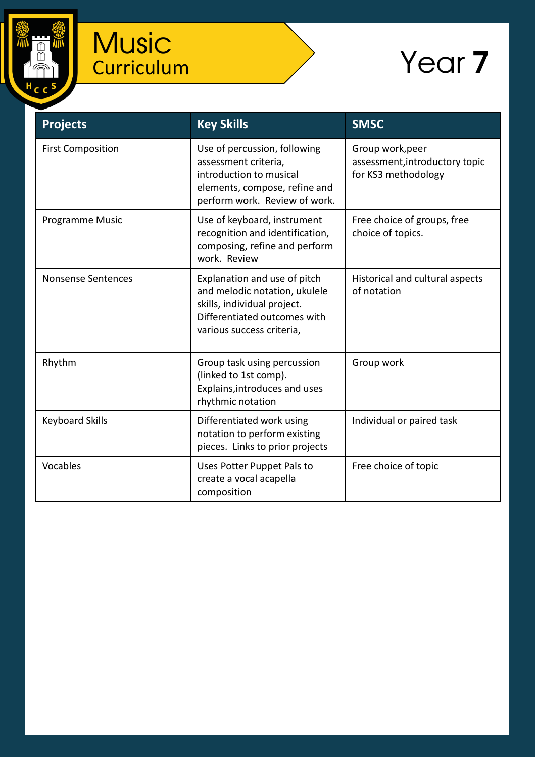

## **Music Curriculum**

## Year 7

| <b>Projects</b>           | <b>Key Skills</b>                                                                                                                                         | <b>SMSC</b>                                                               |
|---------------------------|-----------------------------------------------------------------------------------------------------------------------------------------------------------|---------------------------------------------------------------------------|
| <b>First Composition</b>  | Use of percussion, following<br>assessment criteria,<br>introduction to musical<br>elements, compose, refine and<br>perform work. Review of work.         | Group work, peer<br>assessment, introductory topic<br>for KS3 methodology |
| Programme Music           | Use of keyboard, instrument<br>recognition and identification,<br>composing, refine and perform<br>work. Review                                           | Free choice of groups, free<br>choice of topics.                          |
| <b>Nonsense Sentences</b> | Explanation and use of pitch<br>and melodic notation, ukulele<br>skills, individual project.<br>Differentiated outcomes with<br>various success criteria, | Historical and cultural aspects<br>of notation                            |
| Rhythm                    | Group task using percussion<br>(linked to 1st comp).<br>Explains, introduces and uses<br>rhythmic notation                                                | Group work                                                                |
| <b>Keyboard Skills</b>    | Differentiated work using<br>notation to perform existing<br>pieces. Links to prior projects                                                              | Individual or paired task                                                 |
| Vocables                  | Uses Potter Puppet Pals to<br>create a vocal acapella<br>composition                                                                                      | Free choice of topic                                                      |